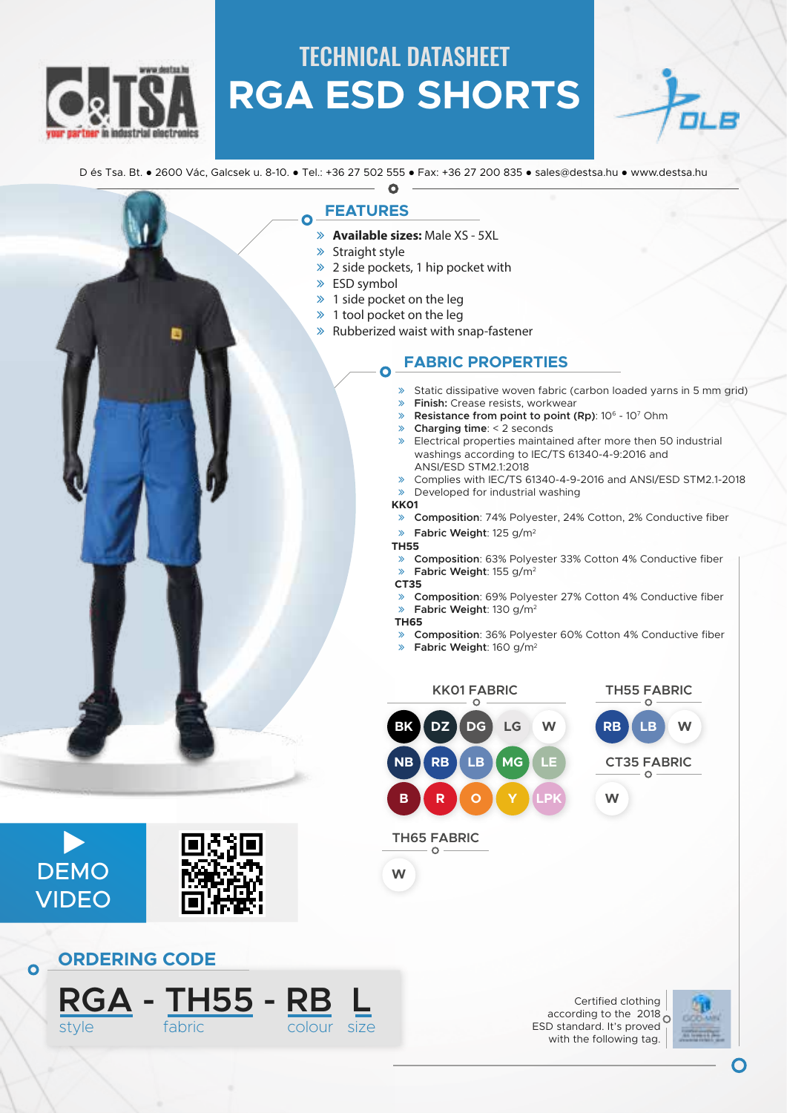

## TECHNICAL DATASHEET **RGA ESD SHORTS**

D és Tsa. Bt. ● 2600 Vác, Galcsek u. 8-10. ● Tel.: +36 27 502 555 ● Fax: +36 27 200 835 ● sales@destsa.hu ● www.destsa.hu Q

### **FEATURES**

- ā **Available sizes:** Male XS 5XL
- $\gg$  Straight style

 $\overline{O}$ 

- $\gg$  2 side pockets, 1 hip pocket with
- $\gg$  ESD symbol
- $\gg$  1 side pocket on the leg
- $\gg$  1 tool pocket on the leg
- $\gg$  Rubberized waist with snap-fastener

### **FABRIC PROPERTIES**

- » Static dissipative woven fabric (carbon loaded yarns in 5 mm grid)
- ā **Finish:** Crease resists, workwear
- **Example 3 Resistance from point to point (Rp)**: 10<sup>6</sup> 10<sup>7</sup> Ohm
- ā **Charging time**: < 2 seconds
- » Electrical properties maintained after more then 50 industrial washings according to IEC/TS 61340-4-9:2016 and ANSI/ESD STM2.1:2018
- ā Complies with IEC/TS 61340-4-9-2016 and ANSI/ESD STM2.1-2018
- $\gg$  Developed for industrial washing

#### **KK01**

ā **Composition**: 74% Polyester, 24% Cotton, 2% Conductive fiber

#### ā **Fabric Weight**: 125 g/m2

#### **TH55**

- **Example 2018** Composition: 63% Polyester 33% Cotton 4% Conductive fiber<br> **Eabric Weight:** 155 g/m<sup>2</sup> ā **Fabric Weight**: 155 g/m2
- **CT35**
- ā **Composition**: 69% Polyester 27% Cotton 4% Conductive fiber ā **Fabric Weight**: 130 g/m2
- **TH65**
- ā **Composition**: 36% Polyester 60% Cotton 4% Conductive fiber
- ā **Fabric Weight**: 160 g/m2



Certified clothing according to the  $2018<sub>O</sub>$ ESD standard. It's proved with the following tag.





DEMO

 $\blacktriangleright$ 

**VIDEO** 

 $\overline{O}$ 

**RGA - TH55 - RB L**

style fabric colour size